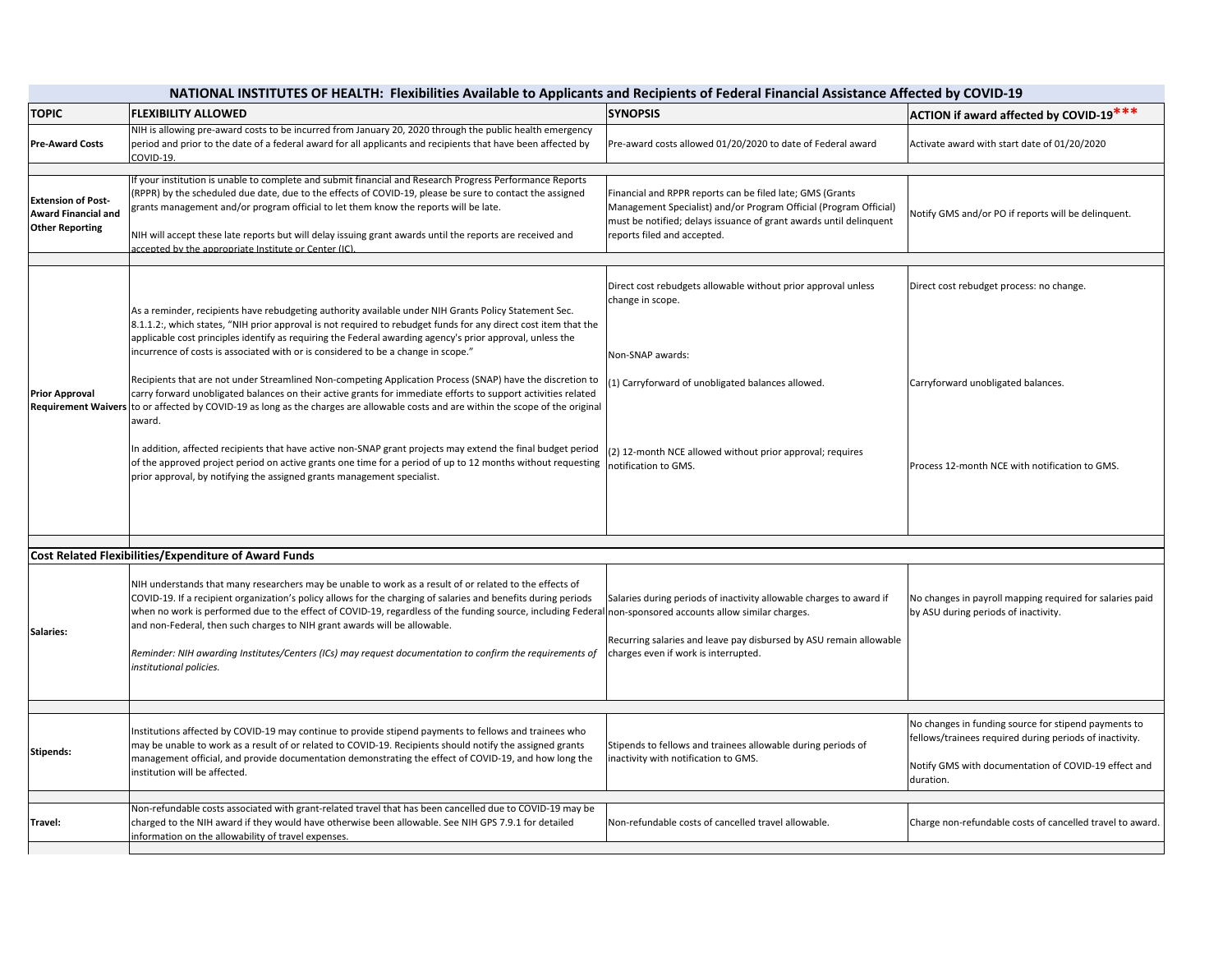## **NATIONAL INSTITUTES OF HEALTH: Flexibilities Available to Applicants and Recipients of Federal Financial Assistance Affected by COVID‐19**

| <b>TOPIC</b>                                                                      | <b>FLEXIBILITY ALLOWED</b>                                                                                                                                                                                                                                                                                                                                                                                                                                                                                                                                                                                                                                                                                                                                                                                                                                                                                                                                                                                                                                                                                         | <b>SYNOPSIS</b>                                                                                                                                                                                                                                 | ACTION if award affected by COVID-19***                                                                                                                                              |  |
|-----------------------------------------------------------------------------------|--------------------------------------------------------------------------------------------------------------------------------------------------------------------------------------------------------------------------------------------------------------------------------------------------------------------------------------------------------------------------------------------------------------------------------------------------------------------------------------------------------------------------------------------------------------------------------------------------------------------------------------------------------------------------------------------------------------------------------------------------------------------------------------------------------------------------------------------------------------------------------------------------------------------------------------------------------------------------------------------------------------------------------------------------------------------------------------------------------------------|-------------------------------------------------------------------------------------------------------------------------------------------------------------------------------------------------------------------------------------------------|--------------------------------------------------------------------------------------------------------------------------------------------------------------------------------------|--|
| <b>Pre-Award Costs</b>                                                            | NIH is allowing pre-award costs to be incurred from January 20, 2020 through the public health emergency<br>period and prior to the date of a federal award for all applicants and recipients that have been affected by<br>COVID-19.                                                                                                                                                                                                                                                                                                                                                                                                                                                                                                                                                                                                                                                                                                                                                                                                                                                                              | Pre-award costs allowed 01/20/2020 to date of Federal award                                                                                                                                                                                     | Activate award with start date of 01/20/2020                                                                                                                                         |  |
| <b>Extension of Post-</b><br><b>Award Financial and</b><br><b>Other Reporting</b> | f your institution is unable to complete and submit financial and Research Progress Performance Reports<br>(RPPR) by the scheduled due date, due to the effects of COVID-19, please be sure to contact the assigned<br>grants management and/or program official to let them know the reports will be late.<br>NIH will accept these late reports but will delay issuing grant awards until the reports are received and<br>ccepted by the appropriate Institute or Center (IC).                                                                                                                                                                                                                                                                                                                                                                                                                                                                                                                                                                                                                                   | Financial and RPPR reports can be filed late; GMS (Grants<br>Management Specialist) and/or Program Official (Program Official)<br>must be notified; delays issuance of grant awards until delinquent<br>reports filed and accepted.             | Notify GMS and/or PO if reports will be delinquent.                                                                                                                                  |  |
| <b>Prior Approval</b>                                                             | As a reminder, recipients have rebudgeting authority available under NIH Grants Policy Statement Sec.<br>8.1.1.2:, which states, "NIH prior approval is not required to rebudget funds for any direct cost item that the<br>applicable cost principles identify as requiring the Federal awarding agency's prior approval, unless the<br>incurrence of costs is associated with or is considered to be a change in scope."<br>Recipients that are not under Streamlined Non-competing Application Process (SNAP) have the discretion to<br>carry forward unobligated balances on their active grants for immediate efforts to support activities related<br>Requirement Waivers to or affected by COVID-19 as long as the charges are allowable costs and are within the scope of the original<br>award.<br>In addition, affected recipients that have active non-SNAP grant projects may extend the final budget period<br>of the approved project period on active grants one time for a period of up to 12 months without requesting<br>prior approval, by notifying the assigned grants management specialist. | Direct cost rebudgets allowable without prior approval unless<br>change in scope.<br>Non-SNAP awards:<br>(1) Carryforward of unobligated balances allowed.<br>(2) 12-month NCE allowed without prior approval; requires<br>notification to GMS. | Direct cost rebudget process: no change.<br>Carryforward unobligated balances.<br>Process 12-month NCE with notification to GMS.                                                     |  |
| <b>Cost Related Flexibilities/Expenditure of Award Funds</b>                      |                                                                                                                                                                                                                                                                                                                                                                                                                                                                                                                                                                                                                                                                                                                                                                                                                                                                                                                                                                                                                                                                                                                    |                                                                                                                                                                                                                                                 |                                                                                                                                                                                      |  |
| Salaries:                                                                         | NIH understands that many researchers may be unable to work as a result of or related to the effects of<br>COVID-19. If a recipient organization's policy allows for the charging of salaries and benefits during periods<br>when no work is performed due to the effect of COVID-19, regardless of the funding source, including Federal<br>and non-Federal, then such charges to NIH grant awards will be allowable.<br>Reminder: NIH awarding Institutes/Centers (ICs) may request documentation to confirm the requirements of<br>institutional policies.                                                                                                                                                                                                                                                                                                                                                                                                                                                                                                                                                      | Salaries during periods of inactivity allowable charges to award if<br>non-sponsored accounts allow similar charges.<br>Recurring salaries and leave pay disbursed by ASU remain allowable<br>charges even if work is interrupted.              | No changes in payroll mapping required for salaries paid<br>by ASU during periods of inactivity.                                                                                     |  |
|                                                                                   |                                                                                                                                                                                                                                                                                                                                                                                                                                                                                                                                                                                                                                                                                                                                                                                                                                                                                                                                                                                                                                                                                                                    |                                                                                                                                                                                                                                                 |                                                                                                                                                                                      |  |
| <b>Stipends:</b>                                                                  | Institutions affected by COVID-19 may continue to provide stipend payments to fellows and trainees who<br>may be unable to work as a result of or related to COVID-19. Recipients should notify the assigned grants<br>management official, and provide documentation demonstrating the effect of COVID-19, and how long the<br>institution will be affected.                                                                                                                                                                                                                                                                                                                                                                                                                                                                                                                                                                                                                                                                                                                                                      | Stipends to fellows and trainees allowable during periods of<br>nactivity with notification to GMS.                                                                                                                                             | No changes in funding source for stipend payments to<br>fellows/trainees required during periods of inactivity.<br>Notify GMS with documentation of COVID-19 effect and<br>duration. |  |
| Travel:                                                                           | Non-refundable costs associated with grant-related travel that has been cancelled due to COVID-19 may be<br>charged to the NIH award if they would have otherwise been allowable. See NIH GPS 7.9.1 for detailed<br>information on the allowability of travel expenses.                                                                                                                                                                                                                                                                                                                                                                                                                                                                                                                                                                                                                                                                                                                                                                                                                                            | Non-refundable costs of cancelled travel allowable.                                                                                                                                                                                             | Charge non-refundable costs of cancelled travel to award.                                                                                                                            |  |